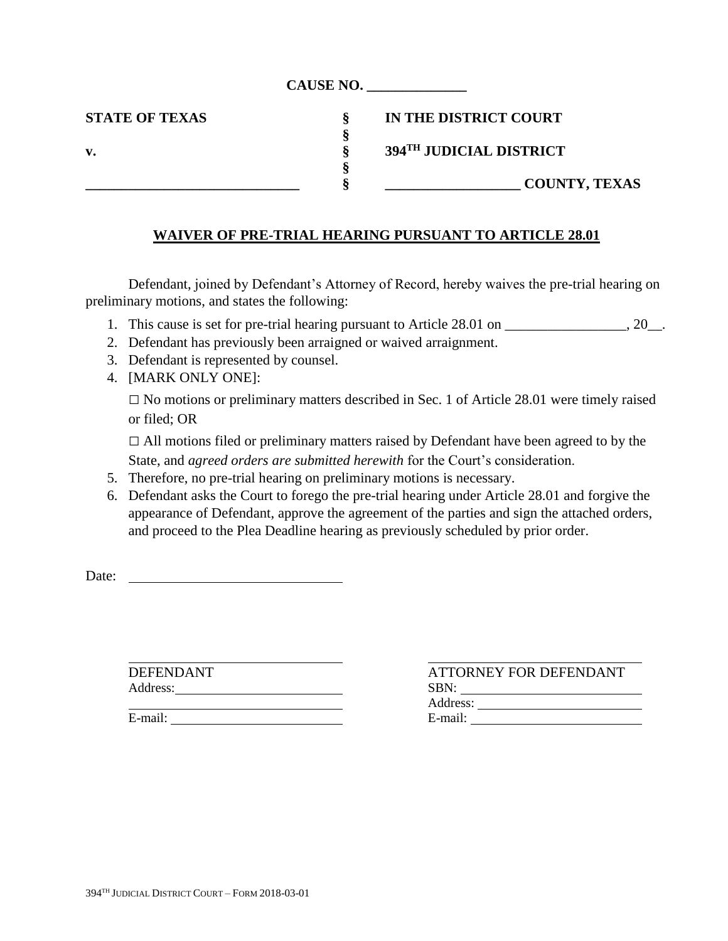|                       | <b>CAUSE NO.</b> |                         |
|-----------------------|------------------|-------------------------|
| <b>STATE OF TEXAS</b> |                  | IN THE DISTRICT COURT   |
|                       | O                |                         |
| v.                    | O                | 394TH JUDICIAL DISTRICT |
|                       |                  |                         |
|                       |                  | <b>COUNTY, TEXAS</b>    |
|                       |                  |                         |

## **WAIVER OF PRE-TRIAL HEARING PURSUANT TO ARTICLE 28.01**

Defendant, joined by Defendant's Attorney of Record, hereby waives the pre-trial hearing on preliminary motions, and states the following:

- 1. This cause is set for pre-trial hearing pursuant to Article 28.01 on \_\_\_\_\_\_\_\_\_\_\_\_\_\_\_\_\_, 20\_\_.
- 2. Defendant has previously been arraigned or waived arraignment.
- 3. Defendant is represented by counsel.
- 4. [MARK ONLY ONE]:

□ No motions or preliminary matters described in Sec. 1 of Article 28.01 were timely raised or filed; OR

 $\Box$  All motions filed or preliminary matters raised by Defendant have been agreed to by the State, and *agreed orders are submitted herewith* for the Court's consideration.

- 5. Therefore, no pre-trial hearing on preliminary motions is necessary.
- 6. Defendant asks the Court to forego the pre-trial hearing under Article 28.01 and forgive the appearance of Defendant, approve the agreement of the parties and sign the attached orders, and proceed to the Plea Deadline hearing as previously scheduled by prior order.

Date:

DEFENDANT ATTORNEY FOR DEFENDANT Address: SBN: Address: No. 1996. The Contract of the Contract of the Contract of the Contract of the Contract of the Contract of the Contract of the Contract of the Contract of the Contract of the Contract of the Contract of the Contrac E-mail: E-mail: